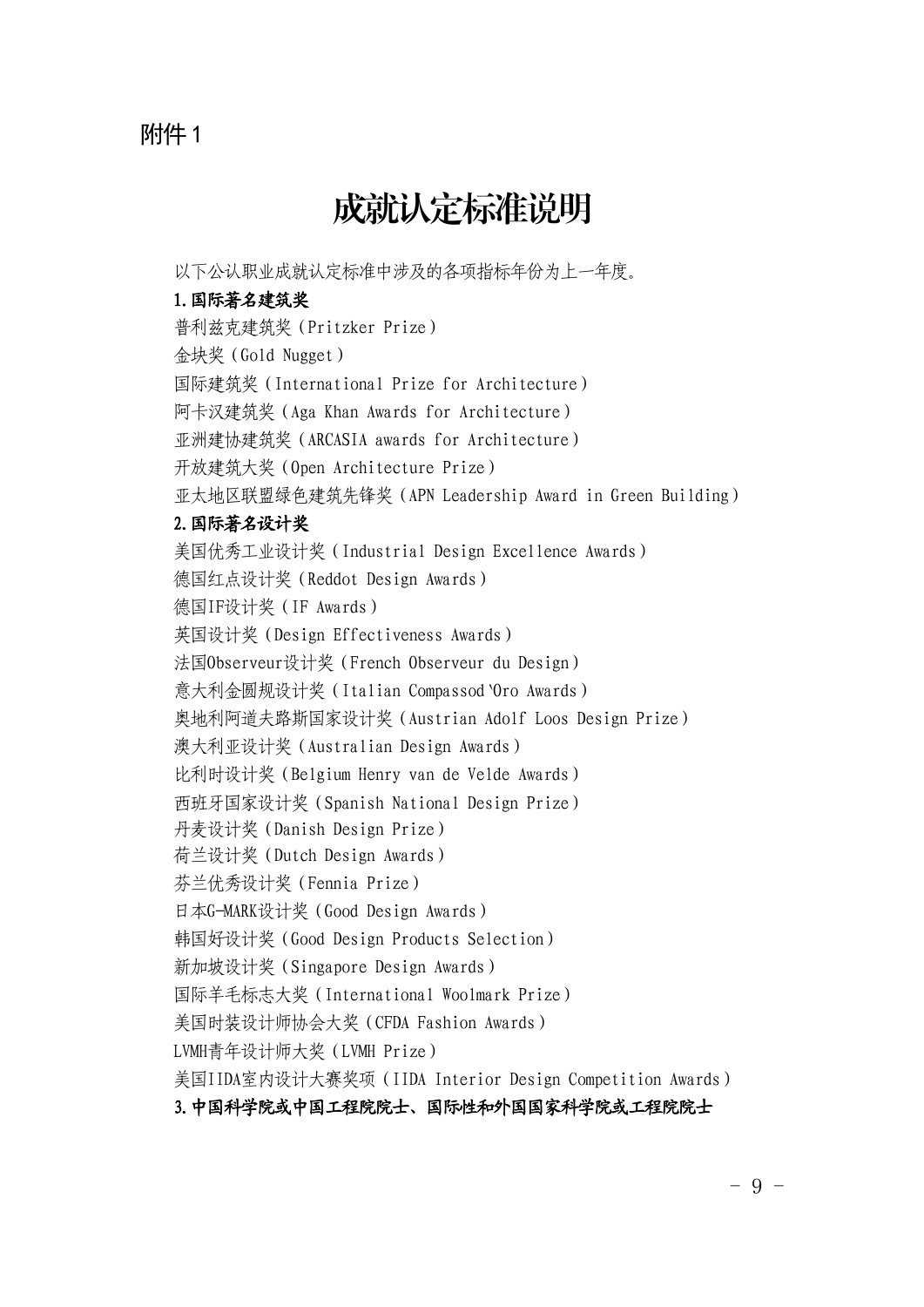# 附件1

# 成就认定标准说明

以下公认职业成就认定标准中涉及的各项指标年份为上一年度。

# 1.国际著名建筑奖

普利兹克建筑奖(Pritzker Prize) 金块奖(Gold Nugget) 国际建筑奖(International Prize for Architecture) 阿卡汉建筑奖(Aga Khan Awards for Architecture) 亚洲建协建筑奖(ARCASIA awards for Architecture) 开放建筑大奖(Open Architecture Prize) 亚太地区联盟绿色建筑先锋奖(APN Leadership Award in Green Building) 2.国际著名设计奖 美国优秀工业设计奖(Industrial Design Excellence Awards) 德国红点设计奖(Reddot Design Awards) 德国IF设计奖(IF Awards) 英国设计奖(Design Effectiveness Awards) 法国Observeur设计奖(French Observeur du Design) 意大利金圆规设计奖 (Italian Compassod Oro Awards) 奥地利阿道夫路斯国家设计奖(Austrian Adolf Loos Design Prize) 澳大利亚设计奖(Australian Design Awards) 比利时设计奖(Belgium Henry van de Velde Awards) 西班牙国家设计奖(Spanish National Design Prize) 丹麦设计奖(Danish Design Prize) 荷兰设计奖(Dutch Design Awards) 芬兰优秀设计奖(Fennia Prize) 日本G-MARK设计奖(Good Design Awards) 韩国好设计奖(Good Design Products Selection) 新加坡设计奖(Singapore Design Awards) 国际羊毛标志大奖(International Woolmark Prize) 美国时装设计师协会大奖(CFDA Fashion Awards) LVMH青年设计师大奖(LVMH Prize) 美国IIDA室内设计大赛奖项(IIDA Interior Design Competition Awards) 3.中国科学院或中国工程院院士、国际性和外国国家科学院或工程院院士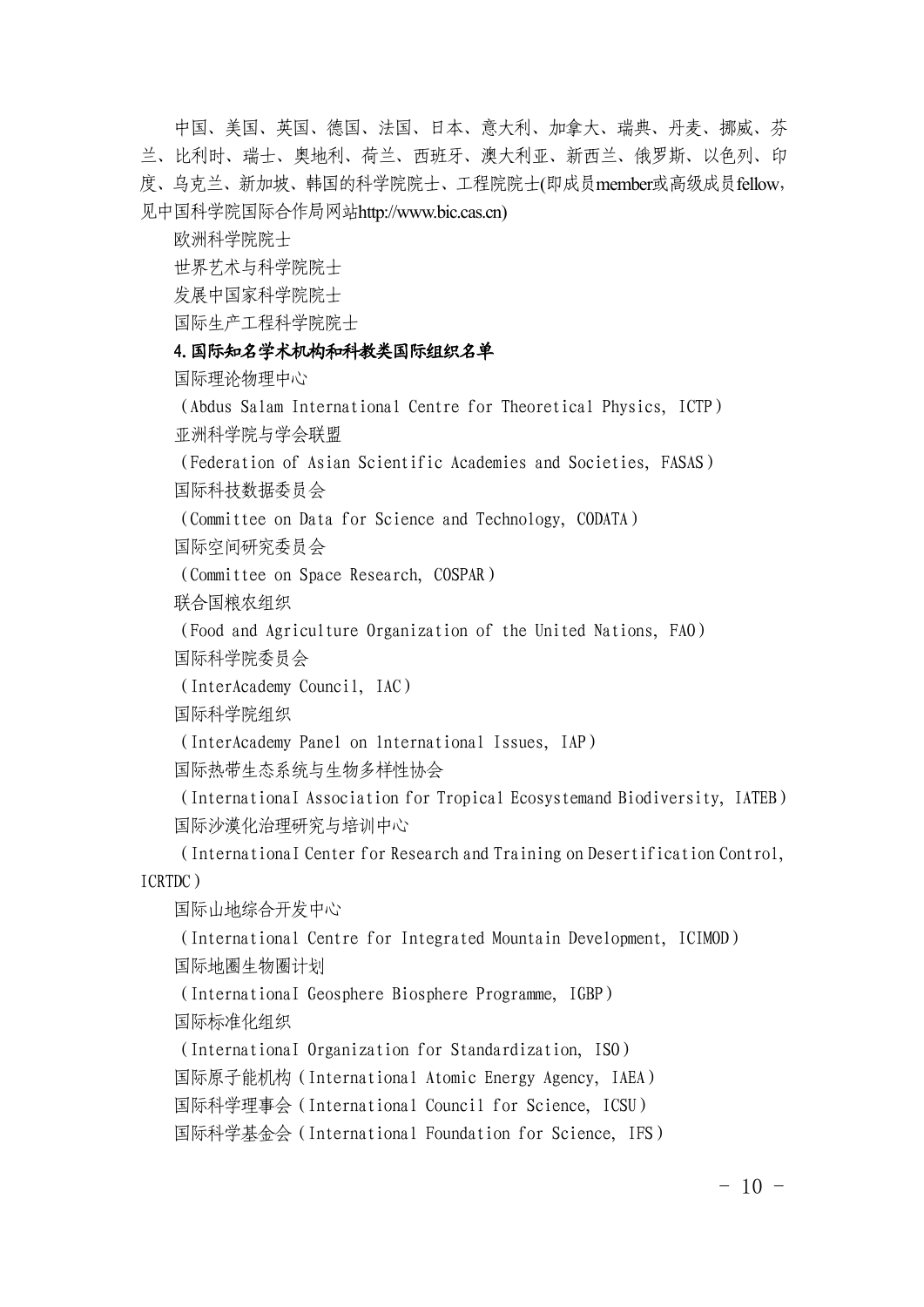中国、美国、英国、德国、法国、日本、意大利、加拿大、瑞典、丹麦、挪威、芬 兰、比利时、瑞士、奥地利、荷兰、西班牙、澳大利亚、新西兰、俄罗斯、以色列、印 度、乌克兰、新加坡、韩国的科学院院士、工程院院士(即成员member或高级成员fellow, 见中国科学院国际合作局网站http://www.bic.cas.cn)

欧洲科学院院士

世界艺术与科学院院士

发展中国家科学院院士

国际生产工程科学院院士

# 4.国际知名学术机构和科教类国际组织名单

[国际理论](http://www.bic.cas.cn/gjzz/201307/t20130719_3902672.html)物理中心

(Abdus Salam International Centre for Theoretical Physics, ICTP) 亚洲[科学院与学会联盟](http://www.bic.cas.cn/gjzz/201307/t20130719_3902690.html)

(Federation of Asian Scientific Academies and Societies, FASAS) [国际科技数据委员会](http://www.bic.cas.cn/gjzz/201307/t20130719_3902696.html)

(Committee on Data for Science and Technology, CODATA)

国[际空间研究委员会](http://www.bic.cas.cn/gjzz/201307/t20130719_3902741.html)

(Committee on Space Research, COSPAR)

[联合国粮农组织](http://www.bic.cas.cn/gjzz/201307/t20130719_3902742.html)

(Food and Agriculture Organization of the United Nations, FAO)

[国际科学院委员会](http://www.bic.cas.cn/gjzz/201307/t20130719_3902743.html)

(InterAcademy Council, IAC)

[国际科学院组](http://www.bic.cas.cn/gjzz/201307/t20130719_3902746.html)织

(InterAcademy Panel on lnternational Issues, IAP)

国际热带生态系统与[生物多](http://www.bic.cas.cn/gjzz/201307/t20130719_3902754.html)样性协会

(InternationaI Association for Tropical Ecosystemand Biodiversity, IATEB) [国际沙漠化治](http://www.bic.cas.cn/gjzz/201307/t20130719_3902758.html)理研究与培训中心

(InternationaI Center for Research and Training on Desertification Control, ICRTDC)

国际山[地综合开](http://www.bic.cas.cn/gjzz/201307/t20130719_3902784.html)发中心

(International Centre for Integrated Mountain Development, ICIMOD) 国际地圈[生物圈](http://www.bic.cas.cn/gjzz/201307/t20130719_3902801.html)计划

(InternationaI Geosphere Biosphere Programme, IGBP)

国际标准[化组织](http://www.bic.cas.cn/gjzz/201307/t20130719_3902802.html)

(InternationaI Organization for Standardization, ISO)

国际原子能机构[\(International](http://www.bic.cas.cn/gjzz/201307/t20130719_3902804.html) Atomic Energy Agency, IAEA)

国际科学理事会[\(International](http://www.bic.cas.cn/gjzz/201307/t20130719_3902805.html) Council for Science, ICSU)

国际科学基金会[\(International](http://www.bic.cas.cn/gjzz/201307/t20130719_3902807.html) Foundation for Science, IFS)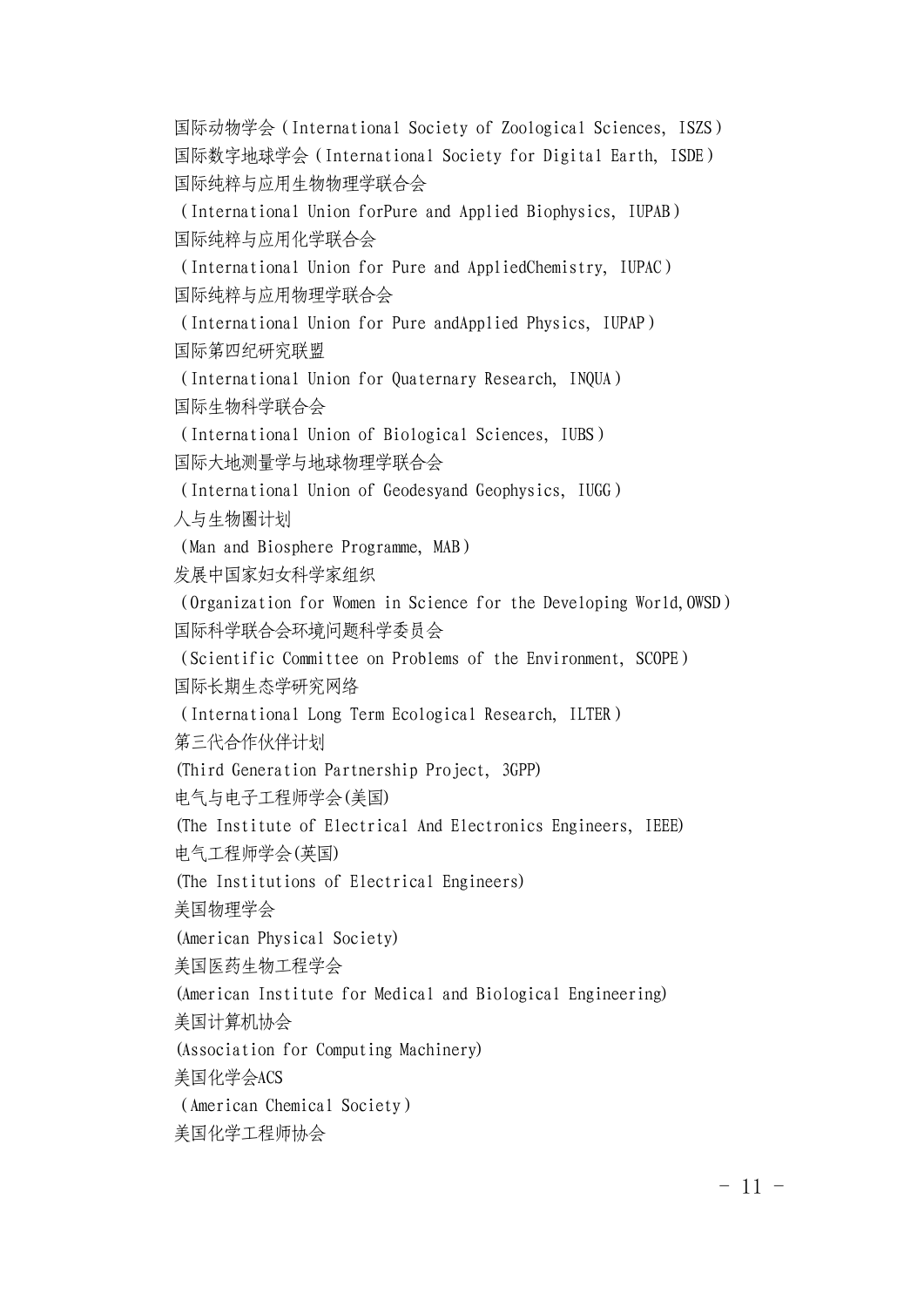国际动物学会[\(International](http://www.bic.cas.cn/gjzz/201307/t20130719_3902809.html) Society of Zoological Sciences, ISZS) [国际数字地球学会](http://www.bic.cas.cn/gjzz/201307/t20130719_3902811.html)(International Society for Digital Earth, ISDE) [国际纯粹与应用生物物理学](http://www.bic.cas.cn/gjzz/201307/t20130719_3902816.html)联合会

(International Union forPure and Applied Biophysics, IUPAB) 国际纯粹与应[用化学](http://www.bic.cas.cn/gjzz/201307/t20130719_3902819.html)联合会

(International Union for Pure and AppliedChemistry, IUPAC) [国际纯粹与应用](http://www.bic.cas.cn/gjzz/201307/t20130719_3902824.html)物理学联合会

(International Union for Pure andApplied Physics, IUPAP) 国际第[四纪研究](http://www.bic.cas.cn/gjzz/201307/t20130719_3902831.html)联盟

(International Union for Quaternary Research, INQUA) 国际生物[科学联合](http://www.bic.cas.cn/gjzz/201307/t20130719_3902834.html)会

(International Union of Biological Sciences, IUBS) 国际大[地测量学与地球物理学联合会](http://www.bic.cas.cn/gjzz/201307/t20130719_3902837.html)

(International Union of Geodesyand Geophysics, IUGG)

[人与生物圈](http://www.bic.cas.cn/gjzz/201307/t20130719_3902840.html)计划

(Man and Biosphere Programme, MAB)

发[展中国家妇女科学家组织](http://www.bic.cas.cn/gjzz/201410/t20141008_4219997.html)

(Organization for Women in Science for the Developing World,OWSD) [国际科学联合会环境问题科学委员会](http://www.bic.cas.cn/gjzz/201410/t20141008_4220000.html)

(Scientific Committee on Problems of the Environment, SCOPE) 国际长期生态学[研究](http://www.bic.cas.cn/gjzz/201410/t20141008_4220003.html)网络

(International Long Term Ecological Research, ILTER)

第三代合作伙伴计划

(Third Generation Partnership Project, 3GPP)

电气与电子工程师学会(美国)

(The Institute of Electrical And Electronics Engineers, IEEE)

电气工程师学会(英国)

(The Institutions of Electrical Engineers)

美国物理学会

(American Physical Society)

美国医药生物工程学会

(American Institute for Medical and Biological Engineering)

美国计算机协会

(Association for Computing Machinery)

美国化学会ACS

(American Chemical Society)

美国化学工程师协会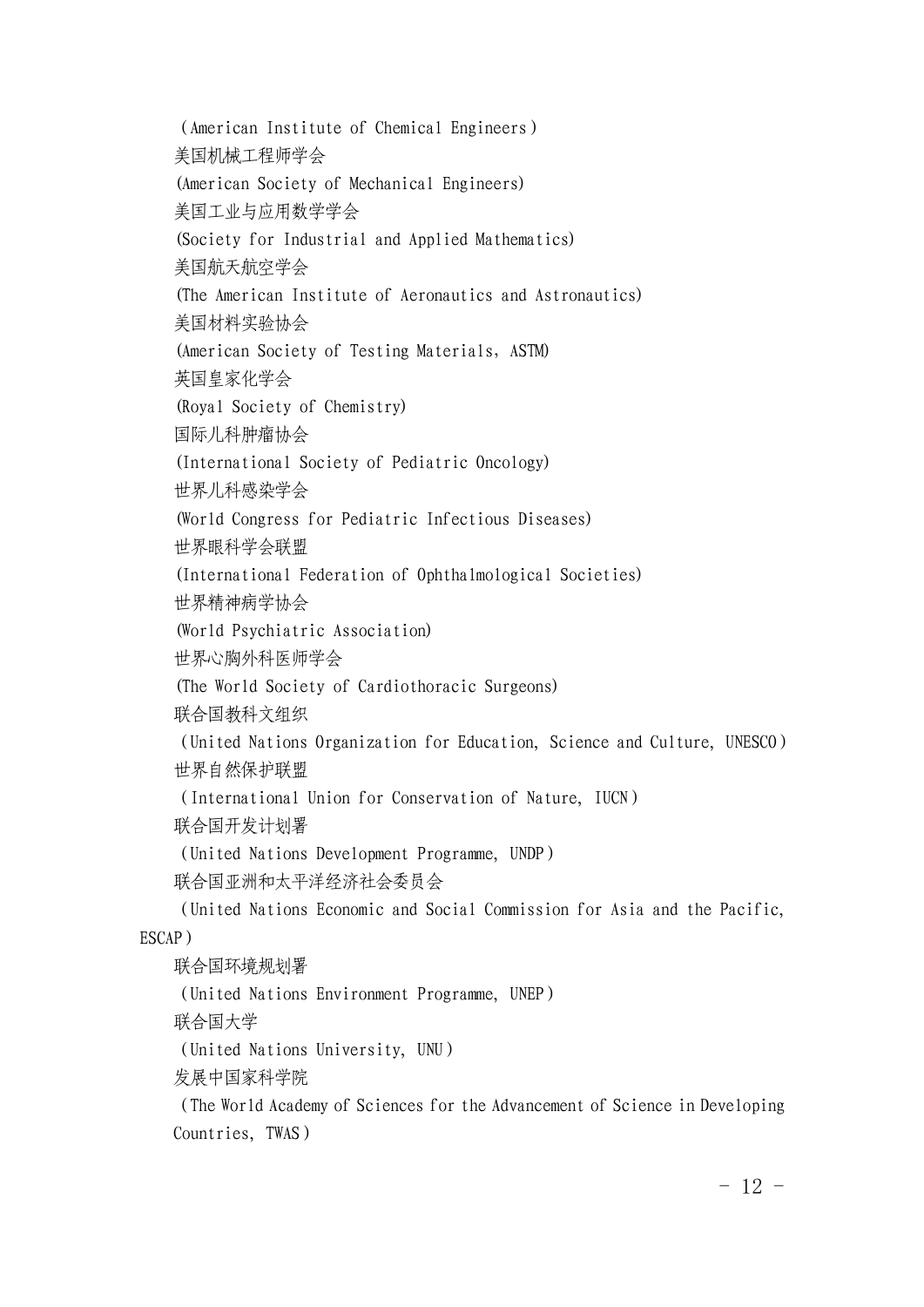(American Institute of Chemical Engineers) 美国机械工程师学会 (American Society of Mechanical Engineers) 美国工业与应用数学学会 (Society for Industrial and Applied Mathematics) 美国航天航空学会 (The American Institute of Aeronautics and Astronautics) 美国材料实验协会 (American Society of Testing Materials, ASTM) 英国皇家化学会 (Royal Society of Chemistry) 国际儿科肿瘤协会 (International Society of Pediatric Oncology) 世界儿科感染学会 (World Congress for Pediatric Infectious Diseases) 世界眼科学会联盟 (International Federation of Ophthalmological Societies) 世界精神病学协会 (World Psychiatric Association) 世界心胸外科医师学会 (The World Society of Cardiothoracic Surgeons) [联合国教科文组织](http://www.bic.cas.cn/gjzz/201410/t20141008_4220007.html) (United Nations Organization for Education, Science and Culture, UNESCO) [世界自然保](http://www.bic.cas.cn/gjzz/201410/t20141008_4220009.html)护联盟 (International Union for Conservation of Nature, IUCN) [联合国开发](http://www.bic.cas.cn/gjzz/201410/t20141008_4220012.html)计划署 (United Nations Development Programme, UNDP) 联合国亚洲[和太平洋经济社会委员会](http://www.bic.cas.cn/gjzz/201410/t20141008_4220016.html) (United Nations Economic and Social Commission for Asia and the Pacific, ESCAP) [联合国环境规](http://www.bic.cas.cn/gjzz/201410/t20141008_4220018.html)划署 (United Nations Environment Programme, UNEP) 联[合国](http://www.bic.cas.cn/gjzz/201410/t20141008_4220022.html)大学 (United Nations University, UNU) 发展中国[家科学](http://www.bic.cas.cn/gjzz/201410/t20141008_4220028.html)院 (The World Academy of Sciences for the Advancement of Science in Developing

Countries, TWAS)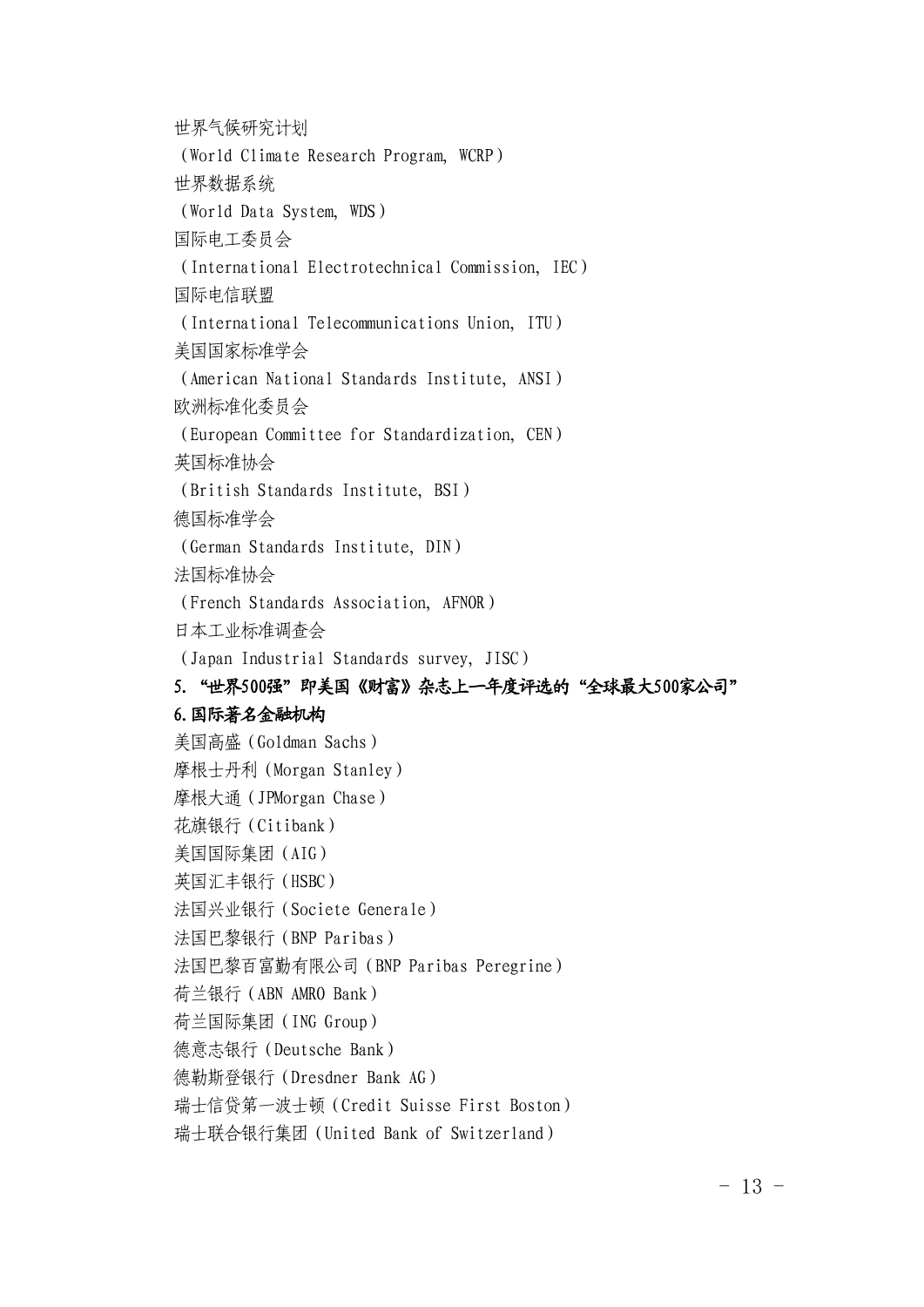世界[气候研究](http://www.bic.cas.cn/gjzz/201410/t20141008_4220030.html)计划 (World Climate Research Program, WCRP) 世界数[据系统](http://www.bic.cas.cn/gjzz/201410/t20141008_4220034.html) (World Data System, WDS) 国际电工委员会 (International Electrotechnical Commission, IEC) 国际电信联盟 (International Telecommunications Union, ITU) 美国国家标准学会 (American National Standards Institute, ANSI) 欧洲标准化委员会 (European Committee for Standardization, CEN) 英国标准协会 (British Standards Institute, BSI) 德国标准学会 (German Standards Institute, DIN) 法国标准协会 (French Standards Association, AFNOR) 日本工业标准调查会 (Japan Industrial Standards survey, JISC) 5. "世界500强"即美国《财富》杂志上一年度评选的"全球最大500家公司" 6.国际著名金融机构 美国高盛(Goldman Sachs) 摩根士丹利(Morgan Stanley) 摩根大通(JPMorgan Chase) 花旗银行(Citibank) 美国国际集团(AIG) 英国汇丰银行(HSBC) 法国兴业银行(Societe Generale) 法国巴黎银行(BNP Paribas) 法国巴黎百富勤有限公司(BNP Paribas Peregrine) 荷兰银行(ABN AMRO Bank) 荷兰国际集团(ING Group) 德意志银行(Deutsche Bank) 德勒斯登银行(Dresdner Bank AG)

瑞士信贷第一波士顿(Credit Suisse First Boston)

瑞士联合银行集团(United Bank of Switzerland)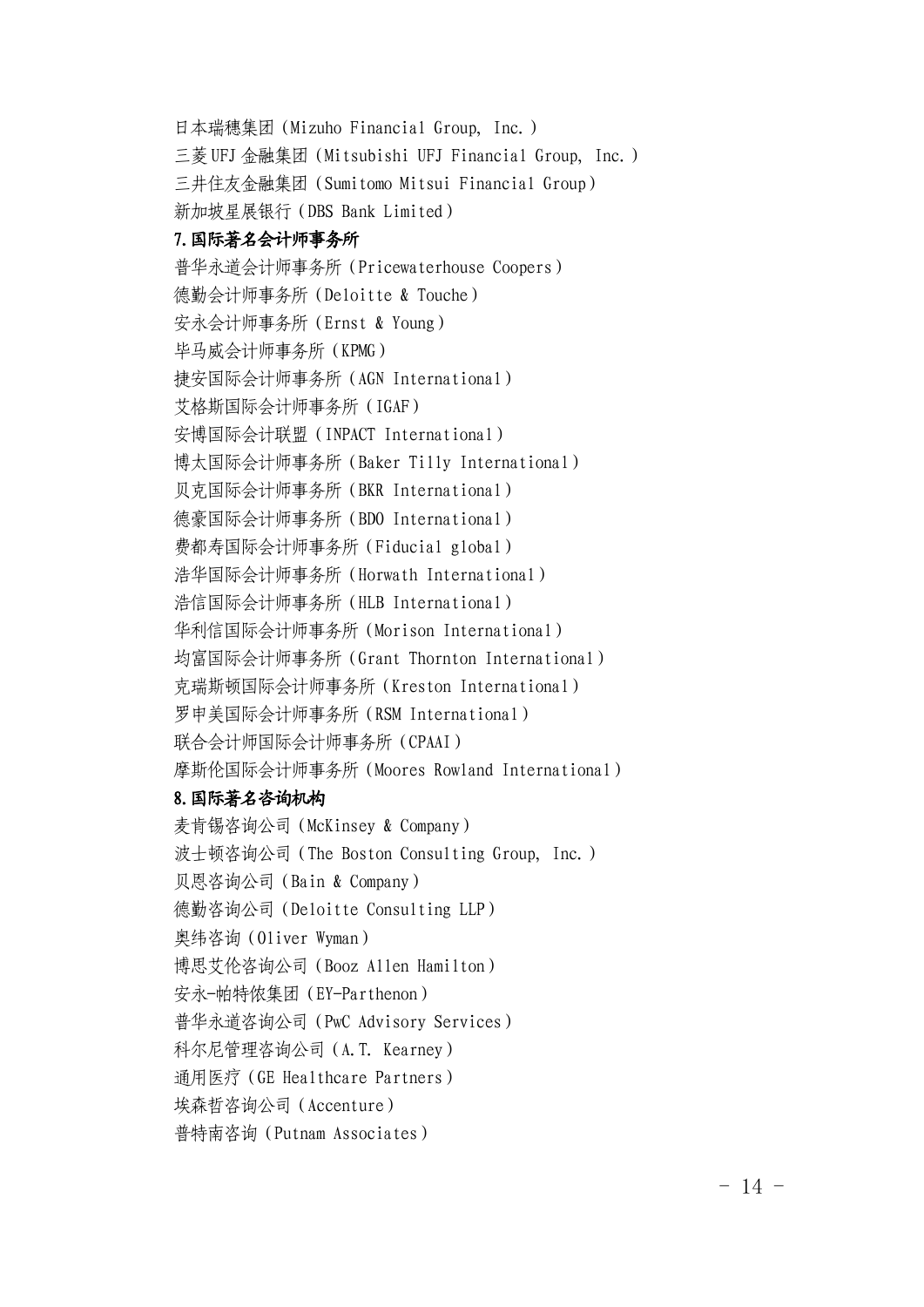日本瑞穗集团(Mizuho Financial Group, Inc.) 三菱UFJ 金融集团(Mitsubishi UFJ Financial Group, Inc.) 三井住友金融集团(Sumitomo Mitsui Financial Group) 新加坡星展银行(DBS Bank Limited) 7.国际著名会计师事务所 普华永道会计师事务所(Pricewaterhouse Coopers) 德勤会计师事务所(Deloitte & Touche) 安永会计师事务所(Ernst & Young) 毕马威会计师事务所(KPMG) 捷安国际会计师事务所(AGN International) 艾格斯国际会计师事务所(IGAF) 安博国际会计联盟(INPACT International) 博太国际会计师事务所(Baker Tilly International) 贝克国际会计师事务所(BKR International) 德豪国际会计师事务所(BDO International) 费都寿国际会计师事务所(Fiducial global) 浩华国际会计师事务所(Horwath International) 浩信国际会计师事务所(HLB International) 华利信国际会计师事务所(Morison International) 均富国际会计师事务所(Grant Thornton International) 克瑞斯顿国际会计师事务所(Kreston International) 罗申美国际会计师事务所(RSM International) 联合会计师国际会计师事务所(CPAAI) 摩斯伦国际会计师事务所(Moores Rowland International) 8.国际著名咨询机构

麦肯锡咨询公司(McKinsey & Company) 波士顿咨询公司(The Boston Consulting Group, Inc.) 贝恩咨询公司(Bain & Company) 德勤咨询公司(Deloitte Consulting LLP) 奥纬咨询(Oliver Wyman) 博思艾伦咨询公司(Booz Allen Hamilton) 安永-帕特侬集团(EY-Parthenon) 普华永道咨询公司(PwC Advisory Services) 科尔尼管理咨询公司(A.T. Kearney) 通用医疗(GE Healthcare Partners) 埃森哲咨询公司(Accenture) 普特南咨询(Putnam Associates)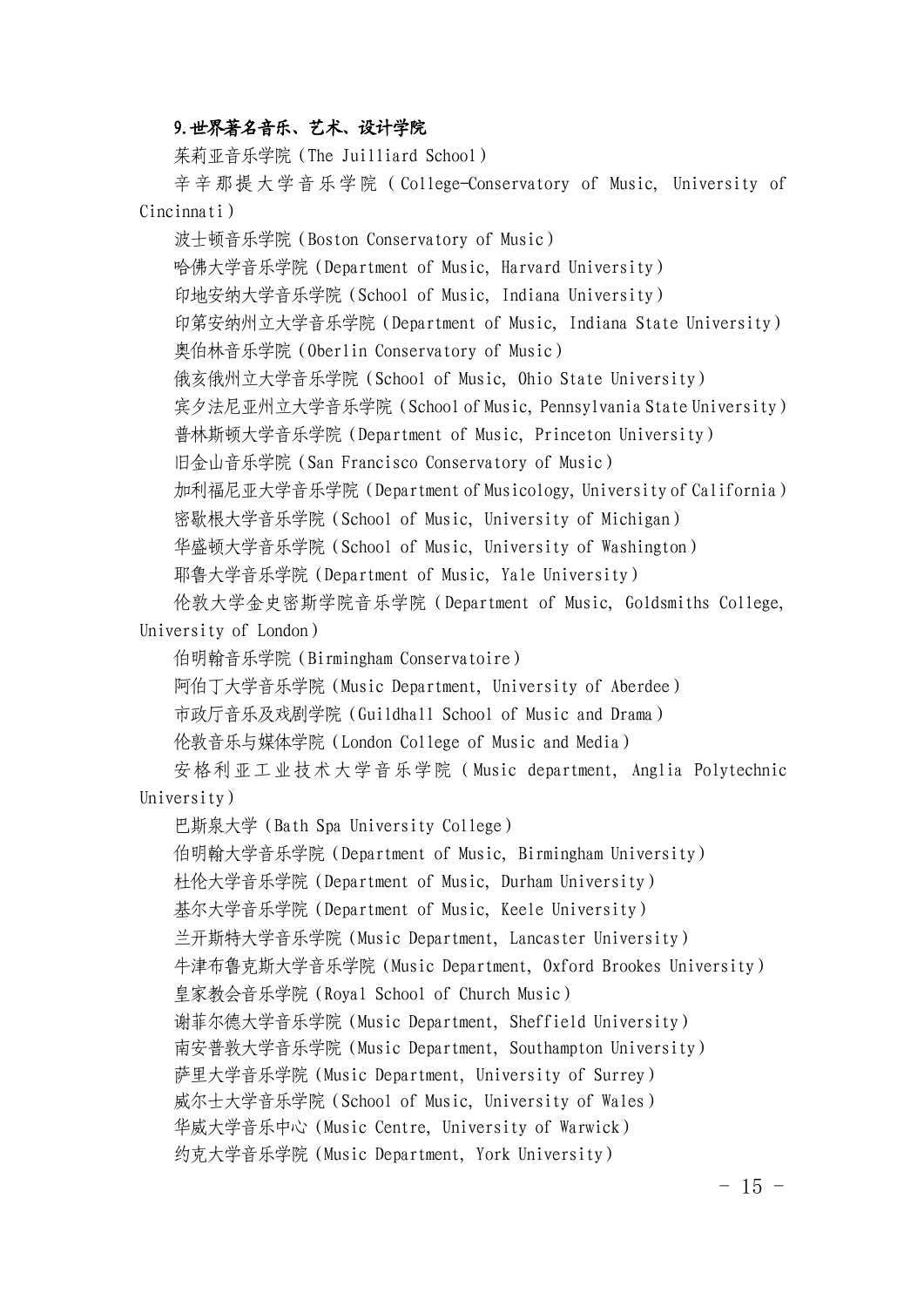#### 9.世界著名音乐、艺术、设计学院

茱莉亚音乐学院(The Juilliard School)

辛辛那提大学音乐学院(College-Conservatory of Music, University of Cincinnati)

波士顿音乐学院(Boston Conservatory of Music) 哈佛大学音乐学院(Department of Music, Harvard University) 印地安纳大学音乐学院(School of Music, Indiana University) 印第安纳州立大学音乐学院(Department of Music, Indiana State University) 奥伯林音乐学院(Oberlin Conservatory of Music) 俄亥俄州立大学音乐学院(School of Music, Ohio State University) 宾夕法尼亚州立大学音乐学院(School of Music, Pennsylvania State University) 普林斯顿大学音乐学院(Department of Music, Princeton University) 旧金山音乐学院(San Francisco Conservatory of Music) 加利福尼亚大学音乐学院(Department of Musicology, University of California) 密歇根大学音乐学院(School of Music, University of Michigan) 华盛顿大学音乐学院(School of Music, University of Washington) 耶鲁大学音乐学院(Department of Music, Yale University)

伦敦大学金史密斯学院音乐学院(Department of Music, Goldsmiths College, University of London)

伯明翰音乐学院(Birmingham Conservatoire)

阿伯丁大学音乐学院(Music Department, University of Aberdee)

市政厅音乐及戏剧学院(Guildhall School of Music and Drama)

伦敦音乐与媒体学院(London College of Music and Media)

安格利亚工业技术大学音乐学院(Music department, Anglia Polytechnic University)

巴斯泉大学(Bath Spa University College)

伯明翰大学音乐学院(Department of Music, Birmingham University)

杜伦大学音乐学院(Department of Music, Durham University)

基尔大学音乐学院(Department of Music, Keele University)

兰开斯特大学音乐学院(Music Department, Lancaster University)

牛津布鲁克斯大学音乐学院(Music Department, Oxford Brookes University)

皇家教会音乐学院(Royal School of Church Music)

谢菲尔德大学音乐学院(Music Department, Sheffield University)

南安普敦大学音乐学院(Music Department, Southampton University)

萨里大学音乐学院(Music Department, University of Surrey)

威尔士大学音乐学院(School of Music, University of Wales)

华威大学音乐中心(Music Centre, University of Warwick)

约克大学音乐学院(Music Department, York University)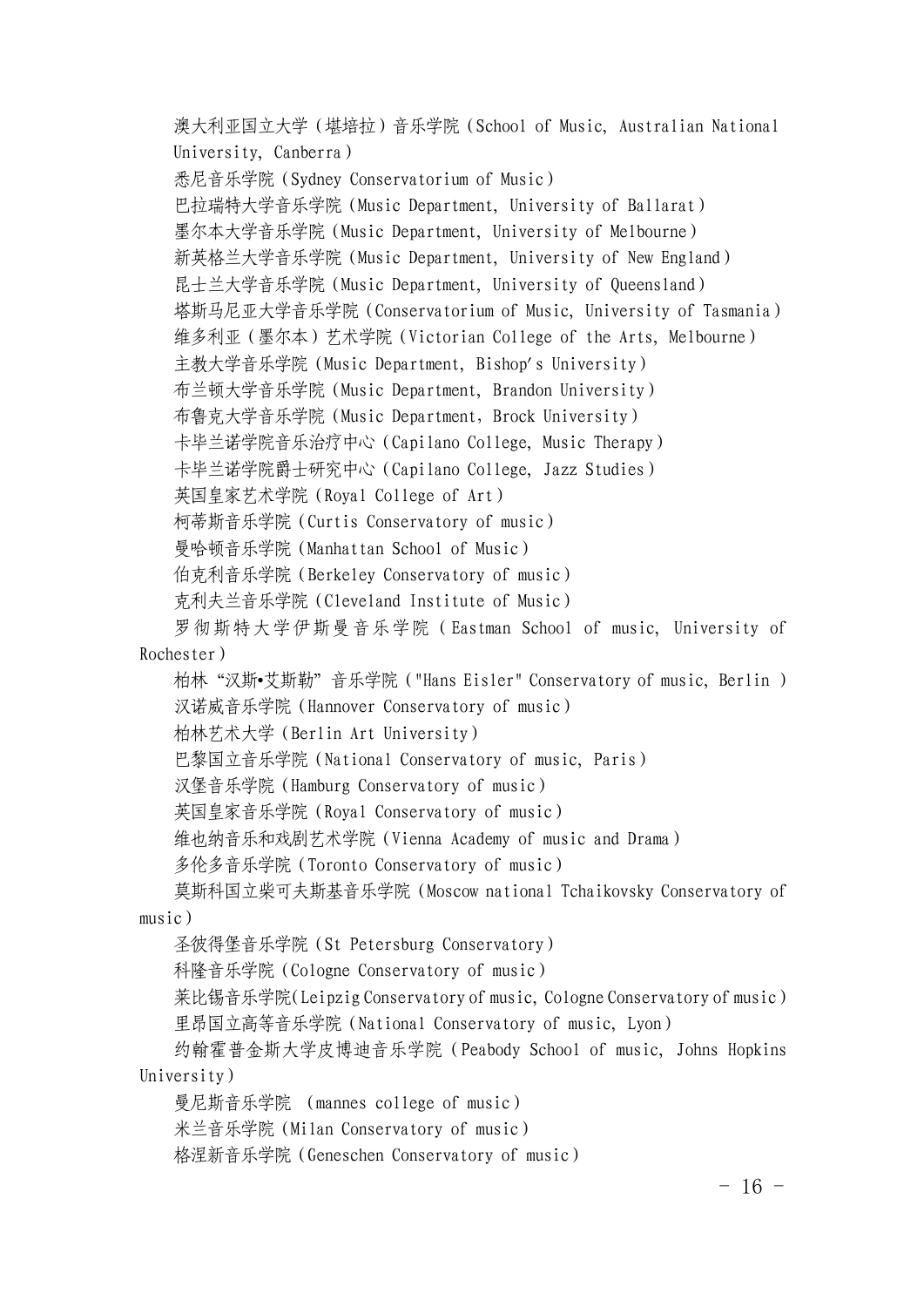澳大利亚国立大学(堪培拉)音乐学院(School of Music, Australian National University, Canberra) 悉尼音乐学院(Sydney Conservatorium of Music) 巴拉瑞特大学音乐学院(Music Department, University of Ballarat) 墨尔本大学音乐学院(Music Department, University of Melbourne) 新英格兰大学音乐学院(Music Department, University of New England) 昆士兰大学音乐学院(Music Department, University of Queensland) 塔斯马尼亚大学音乐学院(Conservatorium of Music, University of Tasmania) 维多利亚(墨尔本)艺术学院(Victorian College of the Arts, Melbourne) 主教大学音乐学院(Music Department, Bishop's University) 布兰顿大学音乐学院(Music Department, Brandon University) 布鲁克大学音乐学院(Music Department,Brock University) 卡毕兰诺学院音乐治疗中心(Capilano College, Music Therapy) 卡毕兰诺学院爵士研究中心(Capilano College, Jazz Studies) 英国皇家艺术学院(Royal College of Art) 柯蒂斯音乐学院(Curtis Conservatory of music) 曼哈顿音乐学院(Manhattan School of Music) 伯克利音乐学院(Berkeley Conservatory of music) 克利夫兰音乐学院(Cleveland Institute of Music) 罗彻斯特大学伊斯曼音乐学院(Eastman School of music, University of

Rochester)

柏林"汉斯•艾斯勒"音乐学院("Hans Eisler" Conservatory of music, Berlin ) 汉诺威音乐学院(Hannover Conservatory of music)

柏林艺术大学(Berlin Art University)

巴黎国立音乐学院(National Conservatory of music, Paris)

汉堡音乐学院(Hamburg Conservatory of music)

英国皇家音乐学院(Royal Conservatory of music)

维也纳音乐和戏剧艺术学院(Vienna Academy of music and Drama)

多伦多音乐学院(Toronto Conservatory of music)

莫斯科国立柴可夫斯基音乐学院(Moscow national Tchaikovsky Conservatory of music)

圣彼得堡音乐学院(St Petersburg Conservatory)

科隆音乐学院(Cologne Conservatory of music)

莱比锡音乐学院(Leipzig Conservatory of music, Cologne Conservatory of music) 里昂国立高等音乐学院(National Conservatory of music, Lyon)

约翰霍普金斯大学皮博迪音乐学院(Peabody School of music, Johns Hopkins University)

曼尼斯音乐学院 (mannes college of music)

米兰音乐学院(Milan Conservatory of music)

格涅新音乐学院(Geneschen Conservatory of music)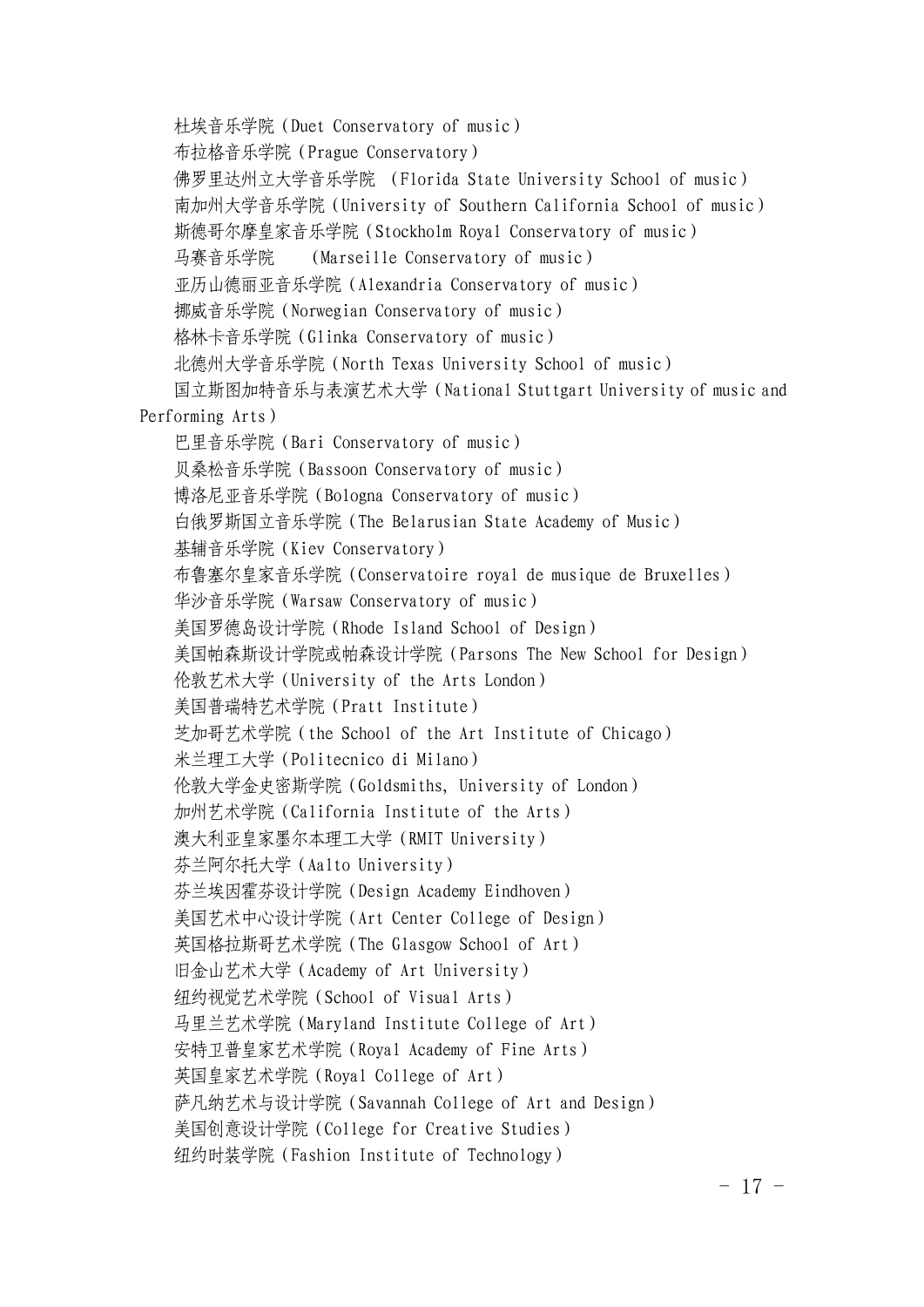杜埃音乐学院(Duet Conservatory of music) 布拉格音乐学院(Prague Conservatory) 佛罗里达州立大学音乐学院 (Florida State University School of music) 南加州大学音乐学院(University of Southern California School of music) 斯德哥尔摩皇家音乐学院(Stockholm Royal Conservatory of music) 马赛音乐学院 (Marseille Conservatory of music) 亚历山德丽亚音乐学院(Alexandria Conservatory of music) 挪威音乐学院(Norwegian Conservatory of music) 格林卡音乐学院(Glinka Conservatory of music) 北德州大学音乐学院(North Texas University School of music) 国立斯图加特音乐与表演艺术大学(National Stuttgart University of music and Performing Arts) 巴里音乐学院(Bari Conservatory of music) 贝桑松音乐学院(Bassoon Conservatory of music) 博洛尼亚音乐学院(Bologna Conservatory of music) 白俄罗斯国立音乐学院(The Belarusian State Academy of Music) 基辅音乐学院(Kiev Conservatory) 布鲁塞尔皇家音乐学院(Conservatoire royal de musique de Bruxelles) 华沙音乐学院(Warsaw Conservatory of music) 美国罗德岛设计学院(Rhode Island School of Design) 美国帕森斯设计学院或帕森设计[学](http://baike.baidu.com/subview/55017/17798883.htm)院(Parsons The New School for Design) 伦敦艺术大学(University of the Arts London) 美国[普瑞特艺](http://baike.baidu.com/view/352971.htm)术学院(Pratt Institute) 芝加哥艺术学院(the School of the Art Institute of Chicago) 米兰理工大学(Politecnico di Milano) 伦敦大学金史密斯学院(Goldsmiths, University of London) 加州艺术学院(California Institute of the Arts) 澳大利亚皇家墨尔本理工大学(RMIT University) 芬兰阿尔托大学(Aalto University) 芬兰埃因霍芬设计学院(Design Academy Eindhoven) 美国艺术中心设计学院(Art Center College of Design) 英国格拉斯哥艺术学院(The Glasgow School of Art) 旧金山艺术大学(Academy of Art University) 纽约视觉艺术学院(School of Visual Arts) 马里兰艺术学院(Maryland Institute College of Art) 安特卫普皇家艺术学院(Royal Academy of Fine Arts) 英国皇家艺术学院(Royal College of Art) 萨凡纳艺术与设计学院(Savannah College of Art and Design) 美国创意设计学院(College for Creative Studies) 纽约时装学院(Fashion Institute of Technology)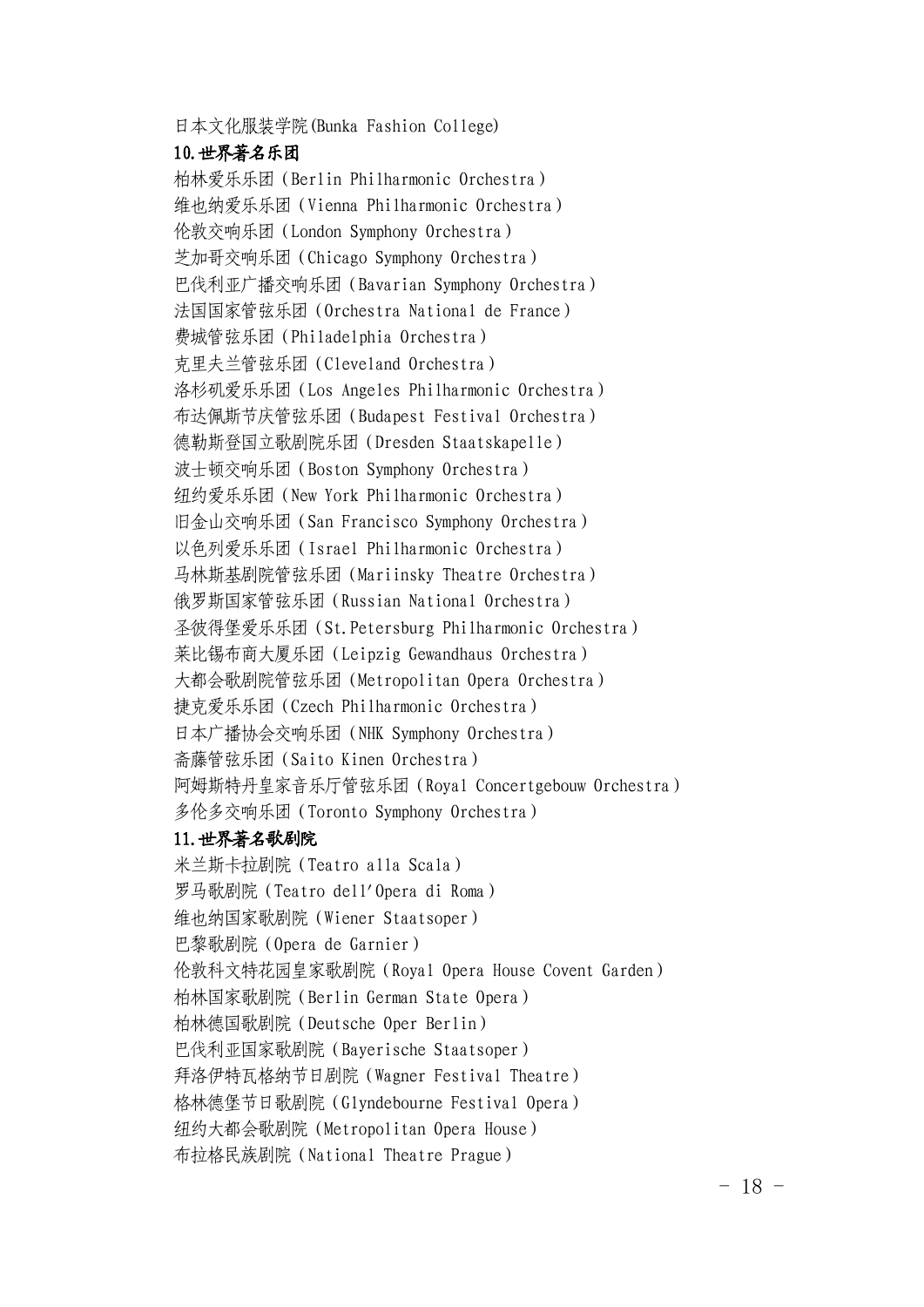日本文化服装学院(Bunka Fashion College)

#### 10.世界著名乐团

柏林爱乐乐团(Berlin Philharmonic Orchestra) 维也纳爱乐乐团(Vienna Philharmonic Orchestra) 伦敦交响乐团(London Symphony Orchestra) 芝加哥交响乐团(Chicago Symphony Orchestra) 巴伐利亚广播交响乐团(Bavarian Symphony Orchestra) 法国国家管弦乐团(Orchestra National de France) 费城管弦乐团(Philadelphia Orchestra) 克里夫兰管弦乐团(Cleveland Orchestra) 洛杉矶爱乐乐团(Los Angeles Philharmonic Orchestra) 布达佩斯节庆管弦乐团(Budapest Festival Orchestra) 德勒斯登国立歌剧院乐团(Dresden Staatskapelle) 波士顿交响乐团(Boston Symphony Orchestra) 纽约爱乐乐团(New York Philharmonic Orchestra) 旧金山交响乐团(San Francisco Symphony Orchestra) 以色列爱乐乐团(Israel Philharmonic Orchestra) 马林斯基剧院管弦乐团(Mariinsky Theatre Orchestra) 俄罗斯国家管弦乐团(Russian National Orchestra) 圣彼得堡爱乐乐团(St.Petersburg Philharmonic Orchestra) 莱比锡布商大厦乐团(Leipzig Gewandhaus Orchestra) 大都会歌剧院管弦乐团(Metropolitan Opera Orchestra) 捷克爱乐乐团(Czech Philharmonic Orchestra) 日本广播协会交响乐团(NHK Symphony Orchestra) 斋藤管弦乐团(Saito Kinen Orchestra) 阿姆斯特丹皇家音乐厅管弦乐团(Royal Concertgebouw Orchestra) 多伦多交响乐团(Toronto Symphony Orchestra) 11.世界著名歌剧院

米兰斯卡拉剧院(Teatro alla Scala) 罗马歌剧院(Teatro dell'Opera di Roma) 维也纳国家歌剧院(Wiener Staatsoper) 巴黎歌剧院(Opera de Garnier) 伦敦科文特花园皇家歌剧院(Royal Opera House Covent Garden) 柏林国家歌剧院(Berlin German State Opera) 柏林德国歌剧院(Deutsche Oper Berlin) 巴伐利亚国家歌剧院(Bayerische Staatsoper) 拜洛伊特瓦格纳节日剧院(Wagner Festival Theatre) 格林德堡节日歌剧院(Glyndebourne Festival Opera) 纽约大都会歌剧院(Metropolitan Opera House) 布拉格民族剧院(National Theatre Prague)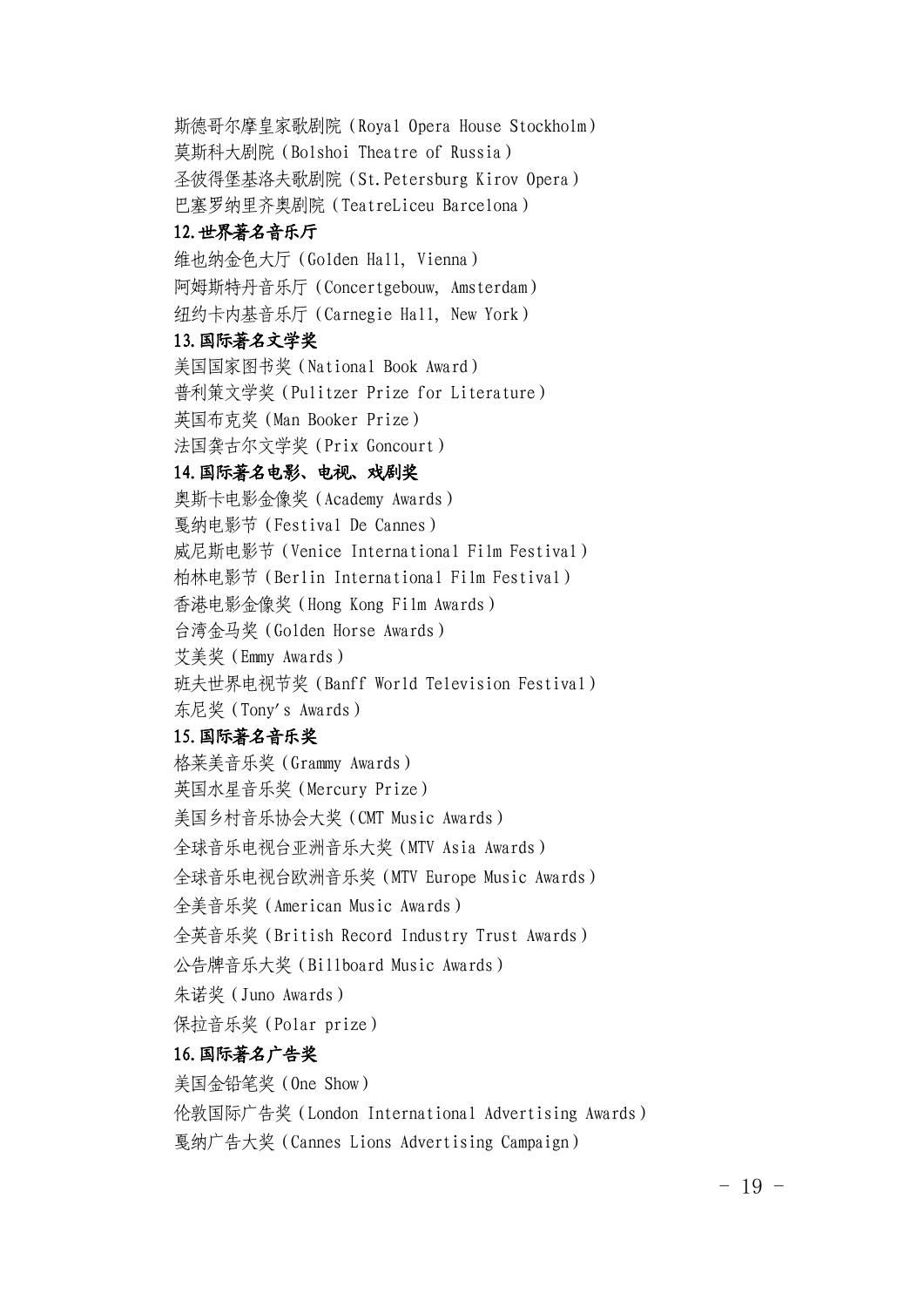斯德哥尔摩皇家歌剧院(Royal Opera House Stockholm) 莫斯科大剧院(Bolshoi Theatre of Russia) 圣彼得堡基洛夫歌剧院(St.Petersburg Kirov Opera) 巴塞罗纳里齐奥剧院(TeatreLiceu Barcelona)

#### 12.世界著名音乐厅

维也纳金色大厅(Golden Hall, Vienna) 阿姆斯特丹音乐厅(Concertgebouw, Amsterdam) 纽约卡内基音乐厅(Carnegie Hall, New York)

#### 13.国际著名文学奖

美国国家图书奖(National Book Award) 普利策文学奖(Pulitzer Prize for Literature) 英国布克奖(Man Booker Prize) 法国龚古尔文学奖(Prix Goncourt)

# 14.国际著名电影、电视、戏剧奖

奥斯卡电影金像奖(Academy Awards) 戛纳电影节(Festival De Cannes) 威尼斯电影节(Venice International Film Festival) 柏林电影节(Berlin International Film Festival) 香港电影金像奖(Hong Kong Film Awards) 台湾金马奖(Golden Horse Awards) 艾美奖(Emmy Awards) 班夫世界电视节奖(Banff World Television Festival)

东尼奖(Tony's Awards)

# 15.国际著名音乐奖

格莱美音乐奖(Grammy Awards) 英国水星音乐奖(Mercury Prize) 美国乡村音乐协会大奖(CMT Music Awards) 全球音乐电视台亚洲音乐大奖(MTV Asia Awards) 全球音乐电视台欧洲音乐奖(MTV Europe Music Awards) 全美音乐奖(American Music Awards) 全英音乐奖(British Record Industry Trust Awards) 公告牌音乐大奖(Billboard Music Awards) 朱诺奖(Juno Awards) 保拉音乐奖(Polar prize)

# 16.国际著名广告奖

美国金铅笔奖(One Show)

伦敦国际广告奖(London International Advertising Awards)

戛纳广告大奖(Cannes Lions Advertising Campaign)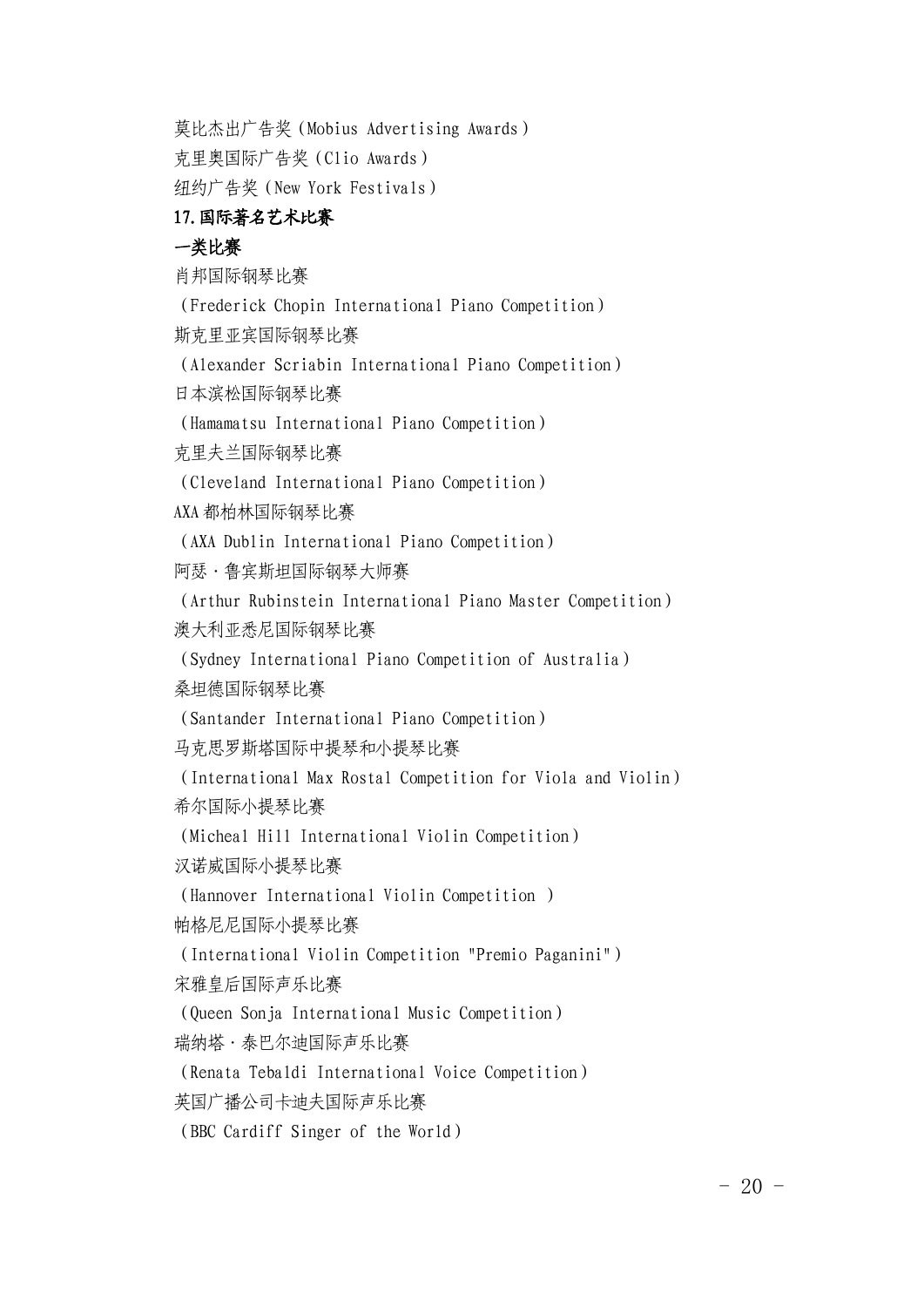莫比杰出广告奖(Mobius Advertising Awards)

克里奥国际广告奖(Clio Awards)

纽约广告奖(New York Festivals)

# 17.国际著名艺术比赛

# 一类比赛

肖邦国际钢琴比赛

(Frederick Chopin International Piano Competition)

斯克里亚宾国际钢琴比赛

(Alexander Scriabin International Piano Competition)

日本滨松国际钢琴比赛

(Hamamatsu International Piano Competition)

克里夫兰国际钢琴比赛

(Cleveland International Piano Competition)

AXA 都柏林国际钢琴比赛

(AXA Dublin International Piano Competition)

阿瑟·鲁宾斯坦国际钢琴大师赛

(Arthur Rubinstein International Piano Master Competition) 澳大利亚悉尼国际钢琴比赛

(Sydney International Piano Competition of Australia)

桑坦德国际钢琴比赛

(Santander International Piano Competition)

马克思罗斯塔国际中提琴和小提琴比赛

(International Max Rostal Competition for Viola and Violin) 希尔国际小提琴比赛

(Micheal Hill International Violin Competition)

汉诺威国际小提琴比赛

(Hannover International Violin Competition )

帕格尼尼国际小提琴比赛

(International Violin Competition "Premio Paganini")

宋雅皇后国际声乐比赛

(Queen Sonja International Music Competition)

瑞纳塔·泰巴尔迪国际声乐比赛

(Renata Tebaldi International Voice Competition)

英国广播公司卡迪夫国际声乐比赛

(BBC Cardiff Singer of the World)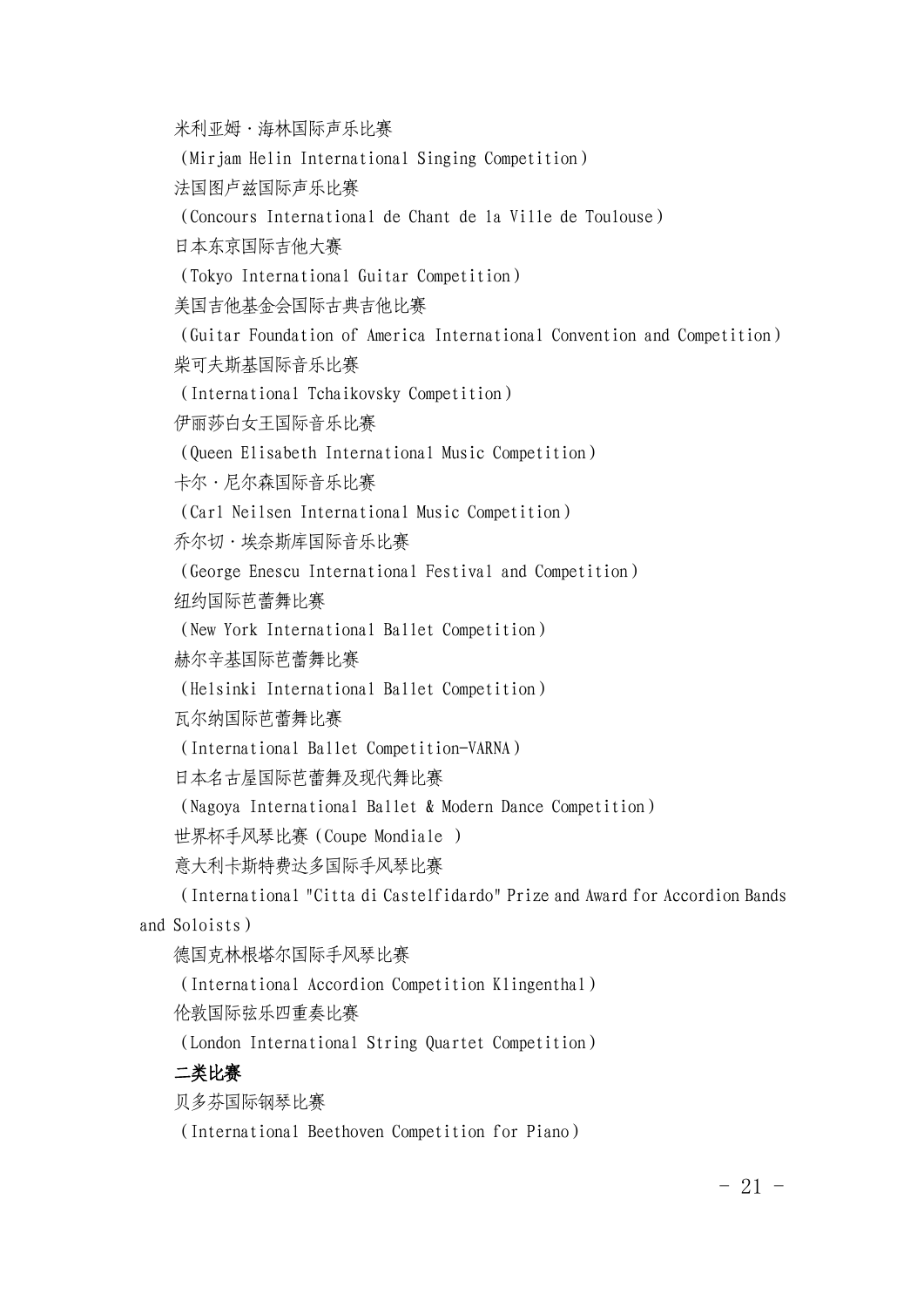米利亚姆·海林国际声乐比赛

(Mirjam Helin International Singing Competition)

法国图卢兹国际声乐比赛

(Concours International de Chant de la Ville de Toulouse)

日本东京国际吉他大赛

(Tokyo International Guitar Competition)

美国吉他基金会国际古典吉他比赛

(Guitar Foundation of America International Convention and Competition) 柴可夫斯基国际音乐比赛

(International Tchaikovsky Competition)

伊丽莎白女王国际音乐比赛

(Queen Elisabeth International Music Competition)

卡尔·尼尔森国际音乐比赛

(Carl Neilsen International Music Competition)

乔尔切·埃奈斯库国际音乐比赛

(George Enescu International Festival and Competition)

纽约国际芭蕾舞比赛

(New York International Ballet Competition)

赫尔辛基国际芭蕾舞比赛

(Helsinki International Ballet Competition)

瓦尔纳国际芭蕾舞比赛

(International Ballet Competition-VARNA)

日本名古屋国际芭蕾舞及现代舞比赛

(Nagoya International Ballet & Modern Dance Competition)

世界杯手风琴比赛(Coupe Mondiale )

意大利卡斯特费达多国际手风琴比赛

(International "Citta di Castelfidardo" Prize and Award for Accordion Bands and Soloists)

德国克林根塔尔国际手风琴比赛

(International Accordion Competition Klingenthal)

伦敦国际弦乐四重奏比赛

(London International String Quartet Competition)

## 二类比赛

贝多芬国际钢琴比赛

(International Beethoven Competition for Piano)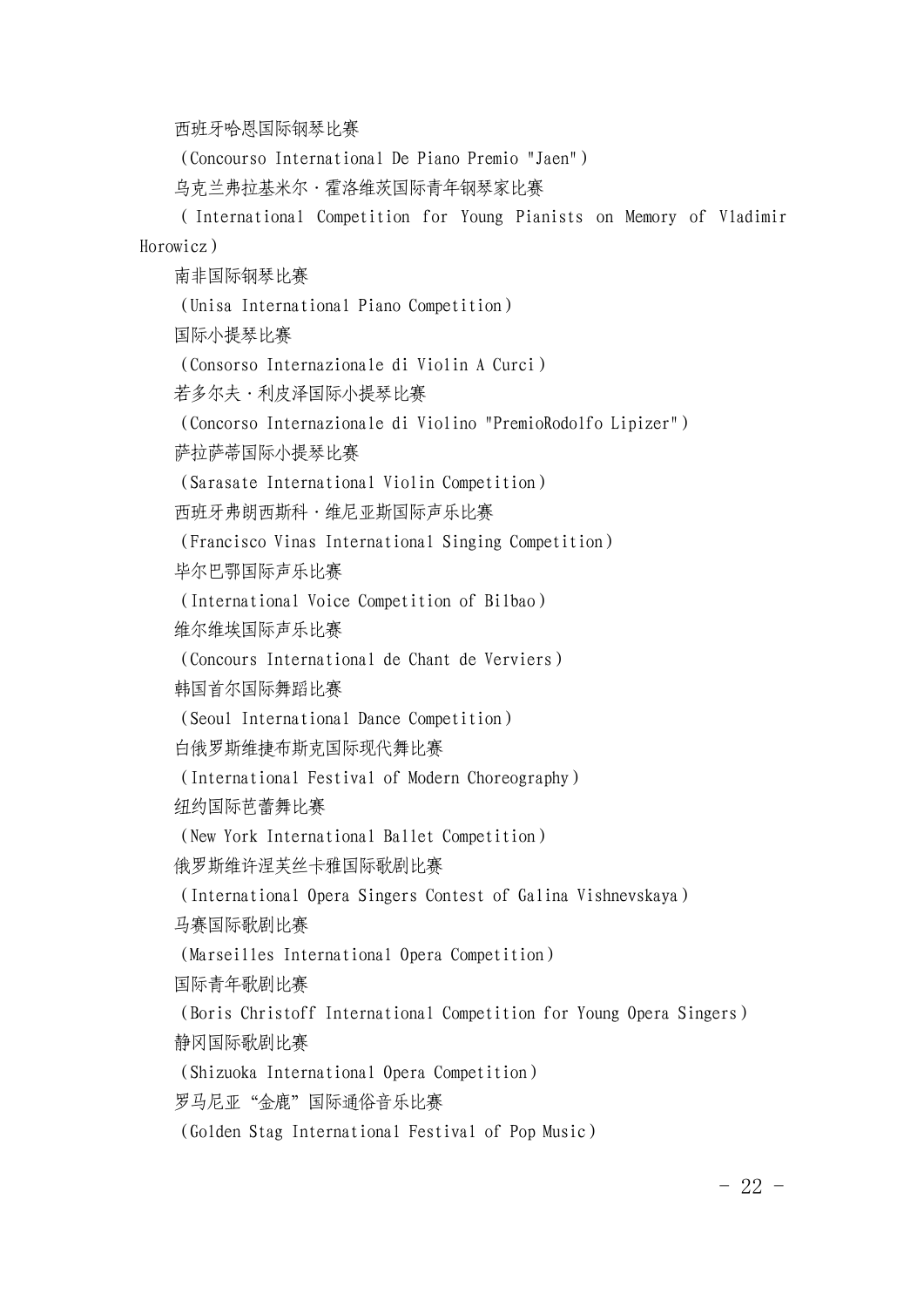西班牙哈恩国际钢琴比赛

(Concourso International De Piano Premio "Jaen")

乌克兰弗拉基米尔·霍洛维茨国际青年钢琴家比赛

(International Competition for Young Pianists on Memory of Vladimir Horowicz)

南非国际钢琴比赛

(Unisa International Piano Competition)

国际小提琴比赛

(Consorso Internazionale di Violin A Curci)

若多尔夫·利皮泽国际小提琴比赛

(Concorso Internazionale di Violino "PremioRodolfo Lipizer")

萨拉萨蒂国际小提琴比赛

(Sarasate International Violin Competition)

西班牙弗朗西斯科·维尼亚斯国际声乐比赛

(Francisco Vinas International Singing Competition)

毕尔巴鄂国际声乐比赛

(International Voice Competition of Bilbao)

维尔维埃国际声乐比赛

(Concours International de Chant de Verviers)

韩国首尔国际舞蹈比赛

(Seoul International Dance Competition)

白俄罗斯维捷布斯克国际现代舞比赛

(International Festival of Modern Choreography)

纽约国际芭蕾舞比赛

(New York International Ballet Competition)

俄罗斯维许涅芙丝卡雅国际歌剧比赛

(International Opera Singers Contest of Galina Vishnevskaya)

马赛国际歌剧比赛

(Marseilles International Opera Competition)

国际青年歌剧比赛

(Boris Christoff International Competition for Young Opera Singers) 静冈国际歌剧比赛

(Shizuoka International Opera Competition)

罗马尼亚"金鹿"国际通俗音乐比赛

(Golden Stag International Festival of Pop Music)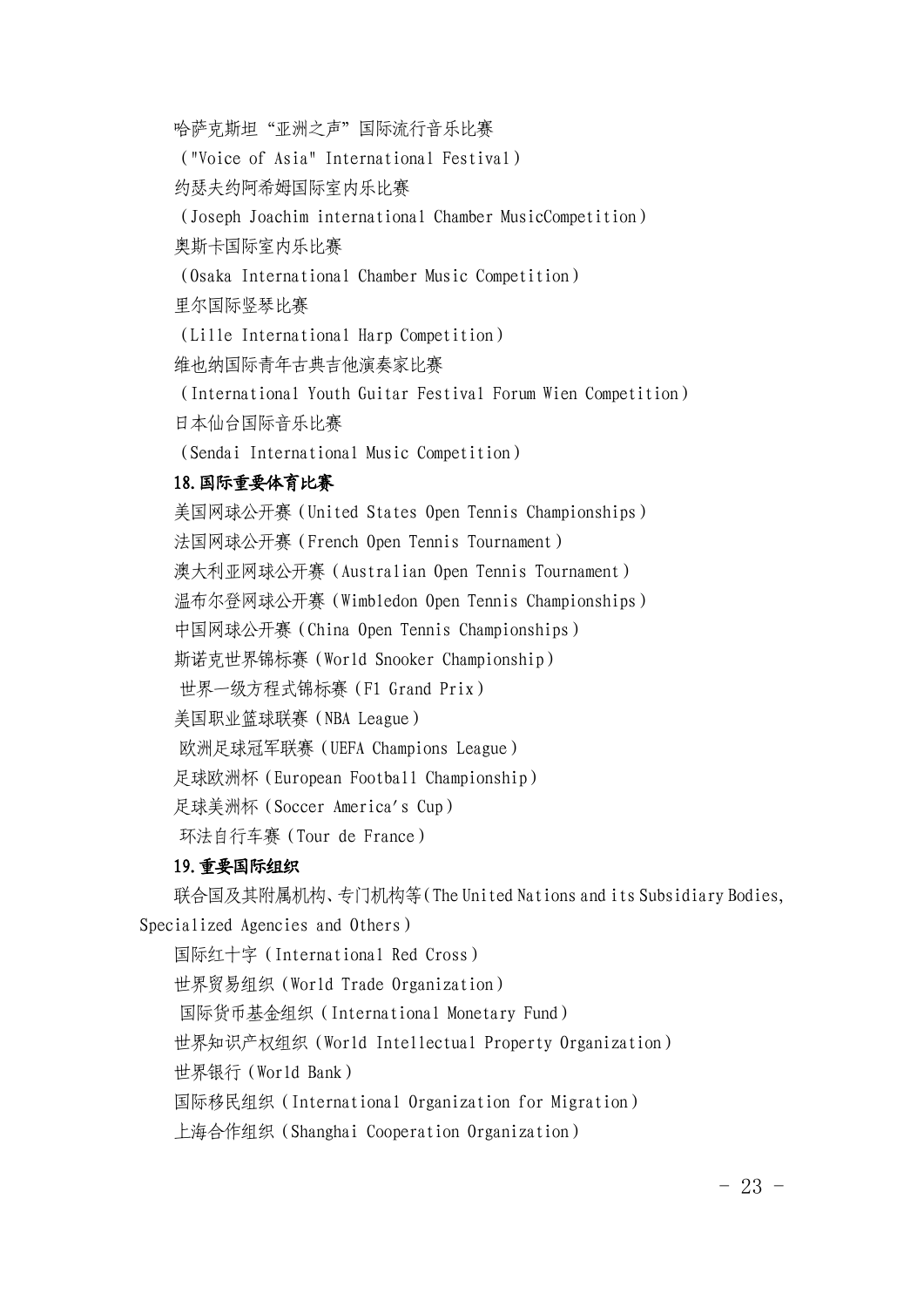哈萨克斯坦"亚洲之声"国际流行音乐比赛

("Voice of Asia" International Festival)

约瑟夫约阿希姆国际室内乐比赛

(Joseph Joachim international Chamber MusicCompetition)

奥斯卡国际室内乐比赛

(Osaka International Chamber Music Competition)

里尔国际竖琴比赛

(Lille International Harp Competition)

维也纳国际青年古典吉他演奏家比赛

(International Youth Guitar Festival Forum Wien Competition) 日本仙台国际音乐比赛

(Sendai International Music Competition)

## 18.国际重要体育比赛

美国网球公开赛(United States Open Tennis Championships) 法国网球公开赛(French Open Tennis Tournament) 澳大利亚网球公开赛(Australian Open Tennis Tournament) 温布尔登网球公开赛(Wimbledon Open Tennis Championships) 中国网球公开赛(China Open Tennis Championships) 斯诺克世界锦标赛(World Snooker Championship) 世界一[级方程式锦标赛](https://www.baidu.com/s?wd=F1%E5%A4%A7%E5%A5%96%E8%B5%9B&tn=44039180_cpr&fenlei=mv6quAkxTZn0IZRqIHckPjm4nH00T1Y4PH79PjT4nWb3rjfLnHf10ZwV5Hcvrjm3rH6sPfKWUMw85HfYnjn4nH6sgvPsT6KdThsqpZwYTjCEQLGCpyw9Uz4Bmy-bIi4WUvYETgN-TLwGUv3EnHDLrjmkns)(F1 Grand Prix) 美国职业篮球联赛(NBA League) 欧洲[足球冠军联赛](https://www.baidu.com/s?wd=%E6%AC%A7%E6%B4%B2%E5%86%A0%E5%86%9B%E8%81%94%E8%B5%9B&tn=44039180_cpr&fenlei=mv6quAkxTZn0IZRqIHckPjm4nH00T1Y4PH79PjT4nWb3rjfLnHf10ZwV5Hcvrjm3rH6sPfKWUMw85HfYnjn4nH6sgvPsT6KdThsqpZwYTjCEQLGCpyw9Uz4Bmy-bIi4WUvYETgN-TLwGUv3EnHDLrjmkns)(UEFA Champions League) 足[球欧](https://www.baidu.com/s?wd=%E6%AC%A7%E6%B4%B2%E6%9D%AF&tn=44039180_cpr&fenlei=mv6quAkxTZn0IZRqIHckPjm4nH00T1Y4PH79PjT4nWb3rjfLnHf10ZwV5Hcvrjm3rH6sPfKWUMw85HfYnjn4nH6sgvPsT6KdThsqpZwYTjCEQLGCpyw9Uz4Bmy-bIi4WUvYETgN-TLwGUv3EnHDLrjmkns)洲杯(European Football Championship)

足球美洲杯(Soccer America's Cup)

[环法](https://www.baidu.com/s?wd=%E7%8E%AF%E6%B3%95%E8%87%AA%E8%A1%8C%E8%BD%A6%E8%B5%9B&tn=44039180_cpr&fenlei=mv6quAkxTZn0IZRqIHckPjm4nH00T1Y4PH79PjT4nWb3rjfLnHf10ZwV5Hcvrjm3rH6sPfKWUMw85HfYnjn4nH6sgvPsT6KdThsqpZwYTjCEQLGCpyw9Uz4Bmy-bIi4WUvYETgN-TLwGUv3EnHDLrjmkns)自行车赛(Tour de France)

## 19.重要国际组织

联合国及其附属机构、专门机构等(The United Nations and its Subsidiary Bodies, Specialized Agencies and Others)

国际红十字(International Red Cross)

世界贸易组织(World Trade Organization)

国[际货币基](https://www.baidu.com/s?wd=%E5%9B%BD%E9%99%85%E8%B4%A7%E5%B8%81%E5%9F%BA%E9%87%91%E7%BB%84%E7%BB%87&tn=44039180_cpr&fenlei=mv6quAkxTZn0IZRqIHckPjm4nH00T1YvPhR4uH-hmWIBPyFWmWf10ZwV5Hcvrjm3rH6sPfKWUMw85HfYnjn4nH6sgvPsT6KdThsqpZwYTjCEQLGCpyw9Uz4Bmy-bIi4WUvYETgN-TLwGUv3EPjcYnjRknH0s)金组织(International Monetary Fund)

世界知识产权组织(World Intellectual Property Organization)

世界银行(World Bank)

国际移民组织(International Organization for Migration)

上海合作组织(Shanghai Cooperation Organization)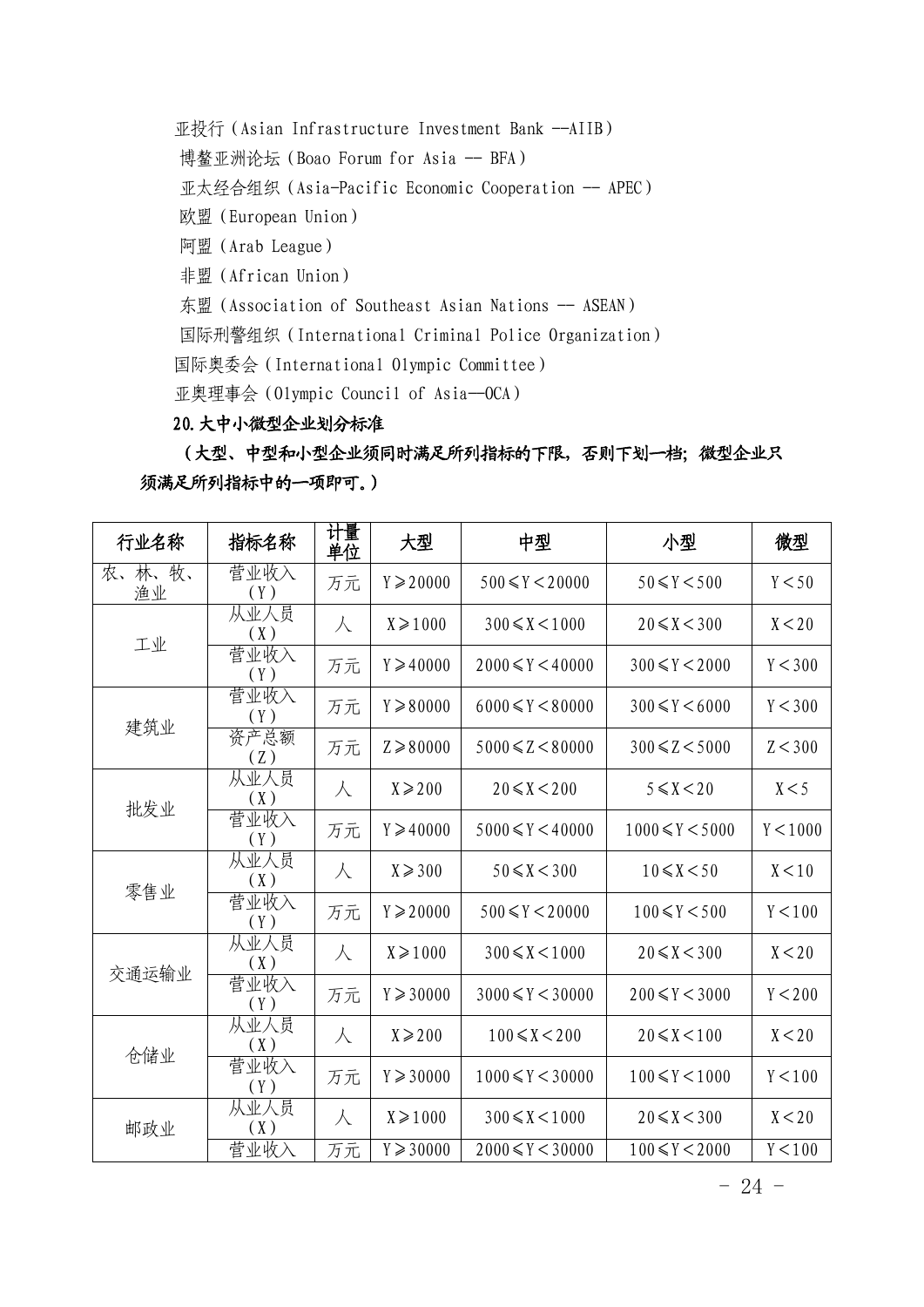亚投行 (Asian Infrastructure Investment Bank --AIIB) [博鳌](https://www.baidu.com/s?wd=%E5%8D%9A%E9%B3%8C%E4%BA%9A%E6%B4%B2%E8%AE%BA%E5%9D%9B&tn=44039180_cpr&fenlei=mv6quAkxTZn0IZRqIHckPjm4nH00T1Y3uHR4rjT3n16YPvnzm1Dz0ZwV5Hcvrjm3rH6sPfKWUMw85HfYnjn4nH6sgvPsT6KdThsqpZwYTjCEQLGCpyw9Uz4Bmy-bIi4WUvYETgN-TLwGUv3EnHf3rjTdn1mY)亚洲论坛 (Boao Forum for Asia -- BFA) [亚太经合组织](https://www.baidu.com/s?wd=%E4%BA%9A%E5%A4%AA%E7%BB%8F%E5%90%88%E7%BB%84%E7%BB%87&tn=44039180_cpr&fenlei=mv6quAkxTZn0IZRqIHckPjm4nH00T1Y3uHR4rjT3n16YPvnzm1Dz0ZwV5Hcvrjm3rH6sPfKWUMw85HfYnjn4nH6sgvPsT6KdThsqpZwYTjCEQLGCpyw9Uz4Bmy-bIi4WUvYETgN-TLwGUv3EnHf3rjTdn1mY) (Asia-Pacific Economic Cooperation -- APEC) 欧盟(European Union) 阿盟(Arab League) 非盟(African Union) 东盟 (Association of Southeast Asian Nations -- ASEAN) [国际刑警组织](https://www.baidu.com/s?wd=%E5%9B%BD%E9%99%85%E5%88%91%E8%AD%A6%E7%BB%84%E7%BB%87&tn=44039180_cpr&fenlei=mv6quAkxTZn0IZRqIHckPjm4nH00T1Y3uHR4rjT3n16YPvnzm1Dz0ZwV5Hcvrjm3rH6sPfKWUMw85HfYnjn4nH6sgvPsT6KdThsqpZwYTjCEQLGCpyw9Uz4Bmy-bIi4WUvYETgN-TLwGUv3EnHf3rjTdn1mY)(International Criminal Police Organization) 国际奥委会(International Olympic Committee)

亚奥理事会(Olympic Council of Asia--OCA)

# 20.大中小微型企业划分标准

(大型、中型和小型企业须同时满足所列指标的下限,否则下划一档;微型企业只 须满足所列指标中的一项即可。)

| 行业名称         | 指标名称        | 计量<br>单位  | 大型                  | 中型                     | 小型                    | 微型       |
|--------------|-------------|-----------|---------------------|------------------------|-----------------------|----------|
| 农、林、牧、<br>渔业 | 营业收入<br>(Y) | 万元        | $Y \ge 20000$       | $500 \le Y \le 20000$  | $50 \le Y \le 500$    | Y < 50   |
| 工业           | 从业人员<br>(X) | 人         | $X \ge 1000$        | $300 \le X \le 1000$   | $20 \le X < 300$      | X < 20   |
|              | 营业收入<br>(Y) | 万元        | $Y \geqslant 40000$ | $2000 \le Y \le 40000$ | $300 \le Y \le 2000$  | Y < 300  |
| 建筑业          | 营业收入<br>(Y) | 万元        | $Y \ge 80000$       | $6000 \le Y \le 80000$ | $300 \le Y \le 6000$  | Y < 300  |
|              | 资产总额<br>(Z) | 万元        | $Z \ge 80000$       | $5000 \le Z \le 80000$ | $300 \le Z < 5000$    | Z < 300  |
| 批发业          | 从业人员<br>(X) | 人         | $X \ge 200$         | $20 \le X < 200$       | $5 \leq X \leq 20$    | X < 5    |
|              | 营业收入<br>(Y) | 万元        | $Y \geqslant 40000$ | $5000 \le Y \le 40000$ | $1000 \le Y \le 5000$ | Y < 1000 |
| 零售业          | 从业人员<br>(X) | 人         | $X \ge 300$         | $50 \le X < 300$       | $10 \le X \le 50$     | X < 10   |
|              | 营业收入<br>(Y) | 万元        | $Y \ge 20000$       | $500 \le Y \le 20000$  | $100 \le Y \le 500$   | Y < 100  |
| 交通运输业        | 从业人员<br>(X) | 人         | $X \ge 1000$        | $300 \le X \le 1000$   | $20 \le X < 300$      | X < 20   |
|              | 营业收入<br>(Y) | 万元        | $Y \ge 30000$       | $3000 \le Y < 30000$   | $200 \le Y < 3000$    | Y < 200  |
| 仓储业          | 从业人员<br>(X) | $\lambda$ | $X \ge 200$         | $100 \le X \le 200$    | $20 \le X \le 100$    | X < 20   |
|              | 营业收入<br>(Y) | 万元        | $Y \ge 30000$       | $1000 \le Y \le 30000$ | $100 \le Y \le 1000$  | Y < 100  |
| 邮政业          | 从业人员<br>(X) | 人         | $X \ge 1000$        | $300 \le X \le 1000$   | $20 \le X < 300$      | X < 20   |
|              | 营业收入        | 万元        | $Y \ge 30000$       | $2000 \le Y < 30000$   | $100 \le Y \le 2000$  | Y < 100  |

- 24 -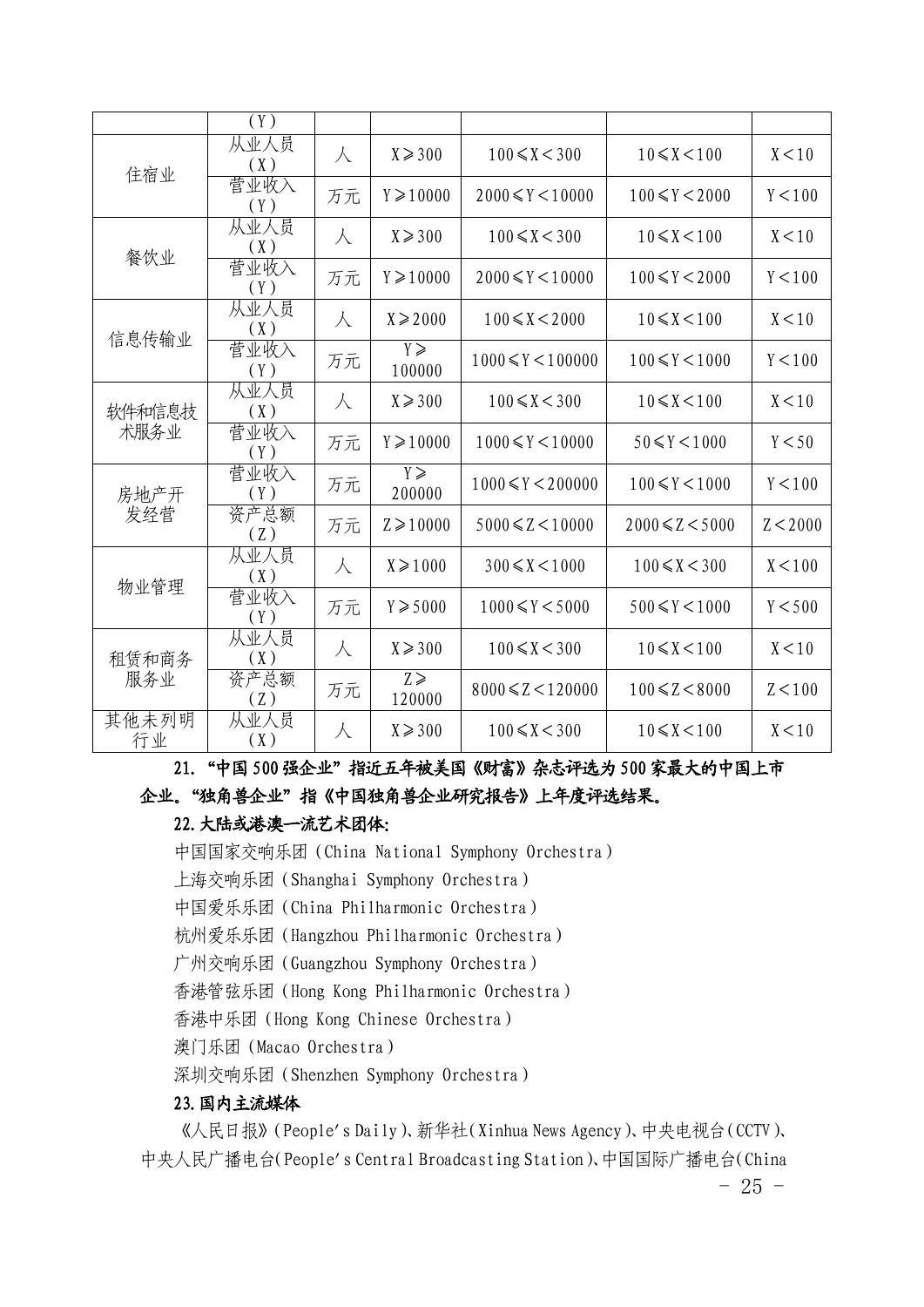|                | (Y)         |           |                         |                         |                       |          |
|----------------|-------------|-----------|-------------------------|-------------------------|-----------------------|----------|
| 住宿业            | 从业人员<br>(X) | 人         | $X \ge 300$             | $100 \le X < 300$       | $10 \le X \le 100$    | X < 10   |
|                | 营业收入<br>(Y) | 万元        | $Y \geqslant 10000$     | $2000 \le Y \le 10000$  | $100 \le Y \le 2000$  | Y < 100  |
| 餐饮业            | 从业人员<br>(X) | 人         | $X \ge 300$             | $100 \le X < 300$       | $10 \le X \le 100$    | X < 10   |
|                | 营业收入<br>(Y) | 万元        | $Y \geqslant 10000$     | $2000 \le Y \le 10000$  | $100 \le Y \le 2000$  | Y < 100  |
| 信息传输业          | 从业人员<br>(X) | 人         | $X \ge 2000$            | $100 \le X \le 2000$    | $10 \le X \le 100$    | X < 10   |
|                | 营业收入<br>(Y) | 万元        | $Y \geqslant$<br>100000 | $1000 \le Y \le 100000$ | $100 \le Y \le 1000$  | Y < 100  |
| 软件和信息技<br>术服务业 | 从业人员<br>(X) | 人         | $X \ge 300$             | $100 \le X < 300$       | $10 \le X \le 100$    | X < 10   |
|                | 营业收入<br>(Y) | 万元        | $Y \geqslant 10000$     | $1000 \le Y \le 10000$  | $50 \le Y \le 1000$   | Y < 50   |
| 房地产开<br>发经营    | 营业收入<br>(Y) | 万元        | $Y \geqslant$<br>200000 | $1000 \le Y \le 200000$ | $100 \le Y \le 1000$  | Y < 100  |
|                | 资产总额<br>(Z) | 万元        | $Z \ge 10000$           | $5000 \le Z \le 10000$  | $2000 \le Z \le 5000$ | Z < 2000 |
| 物业管理           | 从业人员<br>(X) | $\lambda$ | $X \ge 1000$            | $300 \le X \le 1000$    | $100 \le X < 300$     | X < 100  |
|                | 营业收入<br>(Y) | 万元        | $Y \ge 5000$            | $1000 \le Y \le 5000$   | $500 \le Y \le 1000$  | Y < 500  |
| 租赁和商务<br>服务业   | 从业人员<br>(X) | $\lambda$ | $X \ge 300$             | $100 \le X < 300$       | $10 \le X \le 100$    | X < 10   |
|                | 资产总额<br>(Z) | 万元        | $Z \geqslant$<br>120000 | $8000 \le Z \le 120000$ | $100 \le Z < 8000$    | Z < 100  |
| 其他未列明<br>行业    | 从业人员<br>(X) | $\lambda$ | $X \ge 300$             | $100 \le X < 300$       | $10 \le X \le 100$    | X < 10   |

21."中国500 强企业"指近五年被美国《财富》杂志评选为500 家最大的中国上市 企业。"独角兽企业"指《中国独角兽企业研究报告》上年度评选结果。

# 22.大陆或港澳一流艺术团体:

中国国家交响乐团(China National Symphony Orchestra)

- 上海交响乐团(Shanghai Symphony Orchestra)
- 中国爱乐乐团(China Philharmonic Orchestra)

杭州爱乐乐团(Hangzhou Philharmonic Orchestra)

广州交响乐团(Guangzhou Symphony Orchestra)

香港管弦乐团(Hong Kong Philharmonic Orchestra)

香港中乐团(Hong Kong Chinese Orchestra)

澳门乐团(Macao Orchestra)

深圳交响乐团(Shenzhen Symphony Orchestra)

## 23.国内主流媒体

《人民日报》(People's Daily)、新华社(Xinhua News Agency)、中央电视台(CCTV)、 中央人民广播电台(People's Central Broadcasting Station)、中国国际广播电台(China